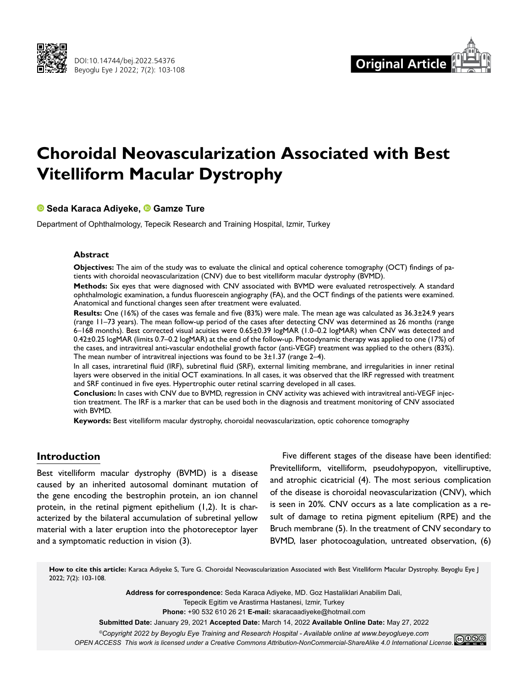

# **Choroidal Neovascularization Associated with Best Vitelliform Macular Dystrophy**

# **Seda Karaca Adiyeke,Gamze Ture**

Department of Ophthalmology, Tepecik Research and Training Hospital, Izmir, Turkey

#### **Abstract**

**Objectives:** The aim of the study was to evaluate the clinical and optical coherence tomography (OCT) findings of patients with choroidal neovascularization (CNV) due to best vitelliform macular dystrophy (BVMD).

**Methods:** Six eyes that were diagnosed with CNV associated with BVMD were evaluated retrospectively. A standard ophthalmologic examination, a fundus fluorescein angiography (FA), and the OCT findings of the patients were examined. Anatomical and functional changes seen after treatment were evaluated.

**Results:** One (16%) of the cases was female and five (83%) were male. The mean age was calculated as 36.3±24.9 years (range 11–73 years). The mean follow-up period of the cases after detecting CNV was determined as 26 months (range 6–168 months). Best corrected visual acuities were 0.65±0.39 logMAR (1.0–0.2 logMAR) when CNV was detected and 0.42±0.25 logMAR (limits 0.7–0.2 logMAR) at the end of the follow-up. Photodynamic therapy was applied to one (17%) of the cases, and intravitreal anti-vascular endothelial growth factor (anti-VEGF) treatment was applied to the others (83%). The mean number of intravitreal injections was found to be  $3\pm1.37$  (range 2–4).

In all cases, intraretinal fluid (IRF), subretinal fluid (SRF), external limiting membrane, and irregularities in inner retinal layers were observed in the initial OCT examinations. In all cases, it was observed that the IRF regressed with treatment and SRF continued in five eyes. Hypertrophic outer retinal scarring developed in all cases.

**Conclusion:** In cases with CNV due to BVMD, regression in CNV activity was achieved with intravitreal anti-VEGF injection treatment. The IRF is a marker that can be used both in the diagnosis and treatment monitoring of CNV associated with BVMD.

**Keywords:** Best vitelliform macular dystrophy, choroidal neovascularization, optic cohorence tomography

# **Introduction**

Best vitelliform macular dystrophy (BVMD) is a disease caused by an inherited autosomal dominant mutation of the gene encoding the bestrophin protein, an ion channel protein, in the retinal pigment epithelium (1,2). It is characterized by the bilateral accumulation of subretinal yellow material with a later eruption into the photoreceptor layer and a symptomatic reduction in vision (3).

Five different stages of the disease have been identified: Previtelliform, vitelliform, pseudohypopyon, vitelliruptive, and atrophic cicatricial (4). The most serious complication of the disease is choroidal neovascularization (CNV), which is seen in 20%. CNV occurs as a late complication as a result of damage to retina pigment epitelium (RPE) and the Bruch membrane (5). In the treatment of CNV secondary to BVMD, laser photocoagulation, untreated observation, (6)

**How to cite this article:** Karaca Adiyeke S, Ture G. Choroidal Neovascularization Associated with Best Vitelliform Macular Dystrophy. Beyoglu Eye J 2022; 7(2): 103-108.

> **Address for correspondence:** Seda Karaca Adiyeke, MD. Goz Hastaliklari Anabilim Dali, Tepecik Egitim ve Arastirma Hastanesi, Izmir, Turkey **Phone:** +90 532 610 26 21 **E-mail:** skaracaadiyeke@hotmail.com **Submitted Date:** January 29, 2021 **Accepted Date:** March 14, 2022 **Available Online Date:** May 27, 2022 *©Copyright 2022 by Beyoglu Eye Training and Research Hospital - Available online at www.beyoglueye.com*

*OPEN ACCESS This work is licensed under a Creative Commons Attribution-NonCommercial-ShareAlike 4.0 International License.*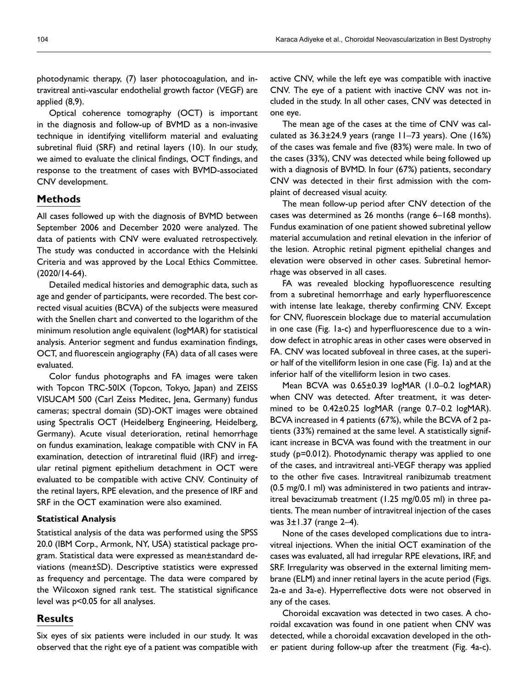photodynamic therapy, (7) laser photocoagulation, and intravitreal anti-vascular endothelial growth factor (VEGF) are applied (8,9).

Optical coherence tomography (OCT) is important in the diagnosis and follow-up of BVMD as a non-invasive technique in identifying vitelliform material and evaluating subretinal fluid (SRF) and retinal layers (10). In our study, we aimed to evaluate the clinical findings, OCT findings, and response to the treatment of cases with BVMD-associated CNV development.

## **Methods**

All cases followed up with the diagnosis of BVMD between September 2006 and December 2020 were analyzed. The data of patients with CNV were evaluated retrospectively. The study was conducted in accordance with the Helsinki Criteria and was approved by the Local Ethics Committee. (2020/14-64).

Detailed medical histories and demographic data, such as age and gender of participants, were recorded. The best corrected visual acuities (BCVA) of the subjects were measured with the Snellen chart and converted to the logarithm of the minimum resolution angle equivalent (logMAR) for statistical analysis. Anterior segment and fundus examination findings, OCT, and fluorescein angiography (FA) data of all cases were evaluated.

Color fundus photographs and FA images were taken with Topcon TRC-50IX (Topcon, Tokyo, Japan) and ZEISS VISUCAM 500 (Carl Zeiss Meditec, Jena, Germany) fundus cameras; spectral domain (SD)-OKT images were obtained using Spectralis OCT (Heidelberg Engineering, Heidelberg, Germany). Acute visual deterioration, retinal hemorrhage on fundus examination, leakage compatible with CNV in FA examination, detection of intraretinal fluid (IRF) and irregular retinal pigment epithelium detachment in OCT were evaluated to be compatible with active CNV. Continuity of the retinal layers, RPE elevation, and the presence of IRF and SRF in the OCT examination were also examined.

#### **Statistical Analysis**

Statistical analysis of the data was performed using the SPSS 20.0 (IBM Corp., Armonk, NY, USA) statistical package program. Statistical data were expressed as mean±standard deviations (mean±SD). Descriptive statistics were expressed as frequency and percentage. The data were compared by the Wilcoxon signed rank test. The statistical significance level was p<0.05 for all analyses.

### **Results**

Six eyes of six patients were included in our study. It was observed that the right eye of a patient was compatible with

active CNV, while the left eye was compatible with inactive CNV. The eye of a patient with inactive CNV was not included in the study. In all other cases, CNV was detected in one eye.

The mean age of the cases at the time of CNV was calculated as 36.3±24.9 years (range 11–73 years). One (16%) of the cases was female and five (83%) were male. In two of the cases (33%), CNV was detected while being followed up with a diagnosis of BVMD. In four (67%) patients, secondary CNV was detected in their first admission with the complaint of decreased visual acuity.

The mean follow-up period after CNV detection of the cases was determined as 26 months (range 6–168 months). Fundus examination of one patient showed subretinal yellow material accumulation and retinal elevation in the inferior of the lesion. Atrophic retinal pigment epithelial changes and elevation were observed in other cases. Subretinal hemorrhage was observed in all cases.

FA was revealed blocking hypofluorescence resulting from a subretinal hemorrhage and early hyperfluorescence with intense late leakage, thereby confirming CNV. Except for CNV, fluorescein blockage due to material accumulation in one case (Fig. 1a-c) and hyperfluorescence due to a window defect in atrophic areas in other cases were observed in FA. CNV was located subfoveal in three cases, at the superior half of the vitelliform lesion in one case (Fig. 1a) and at the inferior half of the vitelliform lesion in two cases.

Mean BCVA was 0.65±0.39 logMAR (1.0–0.2 logMAR) when CNV was detected. After treatment, it was determined to be 0.42±0.25 logMAR (range 0.7–0.2 logMAR). BCVA increased in 4 patients (67%), while the BCVA of 2 patients (33%) remained at the same level. A statistically significant increase in BCVA was found with the treatment in our study (p=0.012). Photodynamic therapy was applied to one of the cases, and intravitreal anti-VEGF therapy was applied to the other five cases. Intravitreal ranibizumab treatment (0.5 mg/0.1 ml) was administered in two patients and intravitreal bevacizumab treatment (1.25 mg/0.05 ml) in three patients. The mean number of intravitreal injection of the cases was 3±1.37 (range 2–4).

None of the cases developed complications due to intravitreal injections. When the initial OCT examination of the cases was evaluated, all had irregular RPE elevations, IRF, and SRF. Irregularity was observed in the external limiting membrane (ELM) and inner retinal layers in the acute period (Figs. 2a-e and 3a-e). Hyperreflective dots were not observed in any of the cases.

Choroidal excavation was detected in two cases. A choroidal excavation was found in one patient when CNV was detected, while a choroidal excavation developed in the other patient during follow-up after the treatment (Fig. 4a-c).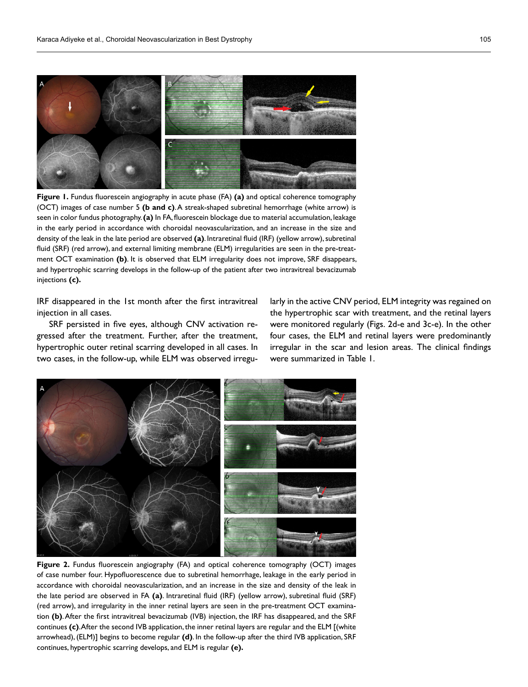

**Figure 1.** Fundus fluorescein angiography in acute phase (FA) **(a)** and optical coherence tomography (OCT) images of case number 5 **(b and c)**. A streak-shaped subretinal hemorrhage (white arrow) is seen in color fundus photography. **(a)** In FA, fluorescein blockage due to material accumulation, leakage in the early period in accordance with choroidal neovascularization, and an increase in the size and density of the leak in the late period are observed **(a)**. Intraretinal fluid (IRF) (yellow arrow), subretinal fluid (SRF) (red arrow), and external limiting membrane (ELM) irregularities are seen in the pre-treatment OCT examination **(b)**. It is observed that ELM irregularity does not improve, SRF disappears, and hypertrophic scarring develops in the follow-up of the patient after two intravitreal bevacizumab injections **(c).**

IRF disappeared in the 1st month after the first intravitreal injection in all cases.

SRF persisted in five eyes, although CNV activation regressed after the treatment. Further, after the treatment, hypertrophic outer retinal scarring developed in all cases. In two cases, in the follow-up, while ELM was observed irregularly in the active CNV period, ELM integrity was regained on the hypertrophic scar with treatment, and the retinal layers were monitored regularly (Figs. 2d-e and 3c-e). In the other four cases, the ELM and retinal layers were predominantly irregular in the scar and lesion areas. The clinical findings were summarized in Table 1.



**Figure 2.** Fundus fluorescein angiography (FA) and optical coherence tomography (OCT) images of case number four. Hypofluorescence due to subretinal hemorrhage, leakage in the early period in accordance with choroidal neovascularization, and an increase in the size and density of the leak in the late period are observed in FA **(a)**. Intraretinal fluid (IRF) (yellow arrow), subretinal fluid (SRF) (red arrow), and irregularity in the inner retinal layers are seen in the pre-treatment OCT examination **(b)**. After the first intravitreal bevacizumab (IVB) injection, the IRF has disappeared, and the SRF continues **(c)**. After the second IVB application, the inner retinal layers are regular and the ELM [(white arrowhead), (ELM)] begins to become regular **(d)**. In the follow-up after the third IVB application, SRF continues, hypertrophic scarring develops, and ELM is regular **(e).**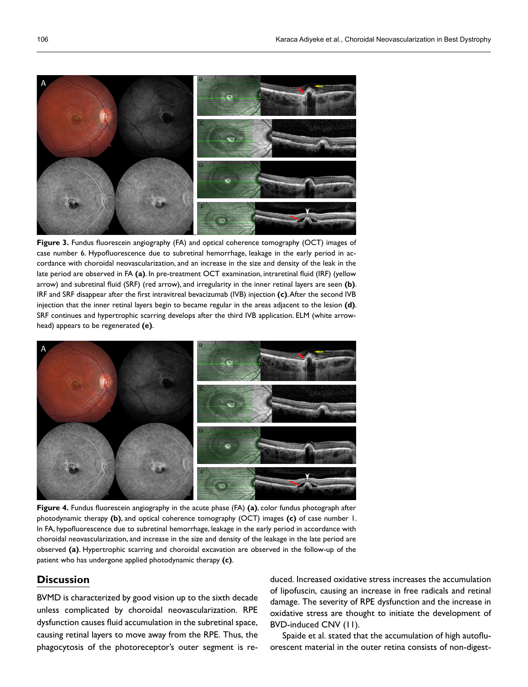

**Figure 3.** Fundus fluorescein angiography (FA) and optical coherence tomography (OCT) images of case number 6. Hypofluorescence due to subretinal hemorrhage, leakage in the early period in accordance with choroidal neovascularization, and an increase in the size and density of the leak in the late period are observed in FA **(a)**. In pre-treatment OCT examination, intraretinal fluid (IRF) (yellow arrow) and subretinal fluid (SRF) (red arrow), and irregularity in the inner retinal layers are seen **(b)**. IRF and SRF disappear after the first intravitreal bevacizumab (IVB) injection **(c)**. After the second IVB injection that the inner retinal layers begin to became regular in the areas adjacent to the lesion **(d)**. SRF continues and hypertrophic scarring develops after the third IVB application. ELM (white arrowhead) appears to be regenerated **(e)**.



**Figure 4.** Fundus fluorescein angiography in the acute phase (FA) **(a)**, color fundus photograph after photodynamic therapy **(b)**, and optical coherence tomography (OCT) images **(c)** of case number 1. In FA, hypofluorescence due to subretinal hemorrhage, leakage in the early period in accordance with choroidal neovascularization, and increase in the size and density of the leakage in the late period are observed **(a)**. Hypertrophic scarring and choroidal excavation are observed in the follow-up of the patient who has undergone applied photodynamic therapy **(c)**.

# **Discussion**

BVMD is characterized by good vision up to the sixth decade unless complicated by choroidal neovascularization. RPE dysfunction causes fluid accumulation in the subretinal space, causing retinal layers to move away from the RPE. Thus, the phagocytosis of the photoreceptor's outer segment is reduced. Increased oxidative stress increases the accumulation of lipofuscin, causing an increase in free radicals and retinal damage. The severity of RPE dysfunction and the increase in oxidative stress are thought to initiate the development of BVD-induced CNV (11).

Spaide et al. stated that the accumulation of high autofluorescent material in the outer retina consists of non-digest-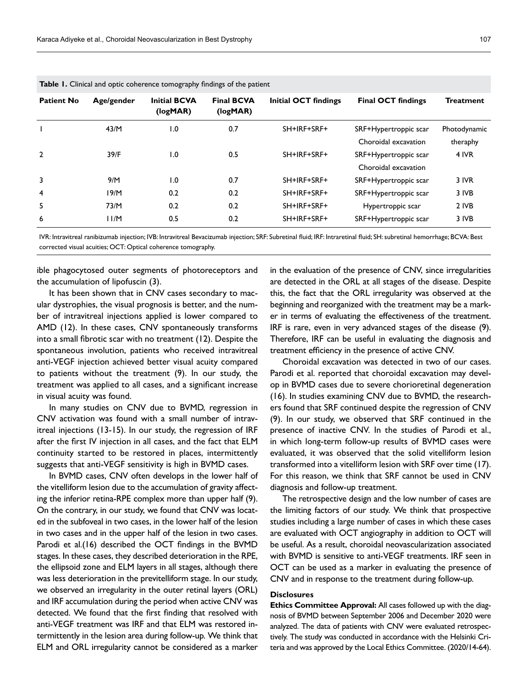| <b>Patient No</b> | Age/gender | <b>Initial BCVA</b><br>(logMAR) | <b>Final BCVA</b><br>(logMAR) | <b>Initial OCT findings</b> | <b>Final OCT findings</b> | <b>Treatment</b> |
|-------------------|------------|---------------------------------|-------------------------------|-----------------------------|---------------------------|------------------|
|                   | 43/M       | 1.0                             | 0.7                           | SH+IRF+SRF+                 | SRF+Hypertroppic scar     | Photodynamic     |
|                   |            |                                 |                               |                             | Choroidal excavation      | theraphy         |
| $\overline{2}$    | 39/F       | 1.0                             | 0.5                           | SH+IRF+SRF+                 | SRF+Hypertroppic scar     | 4 IVR            |
|                   |            |                                 |                               |                             | Choroidal excavation      |                  |
| 3                 | 9/M        | 1.0                             | 0.7                           | SH+IRF+SRF+                 | SRF+Hypertroppic scar     | 3 IVR            |
| $\overline{4}$    | 19/M       | 0.2                             | 0.2                           | SH+IRF+SRF+                 | SRF+Hypertroppic scar     | 3 IVB            |
| 5                 | 73/M       | 0.2                             | 0.2                           | SH+IRF+SRF+                 | Hypertroppic scar         | 2 IVB            |
| 6                 | 11/M       | 0.5                             | 0.2                           | SH+IRF+SRF+                 | SRF+Hypertroppic scar     | 3 IVB            |
|                   |            |                                 |                               |                             |                           |                  |

**Table 1.** Clinical and optic coherence tomography findings of the patient

IVR: Intravitreal ranibizumab injection; IVB: Intravitreal Bevacizumab injection; SRF: Subretinal fluid; IRF: Intraretinal fluid; SH: subretinal hemorrhage; BCVA: Best corrected visual acuities; OCT: Optical coherence tomography.

ible phagocytosed outer segments of photoreceptors and the accumulation of lipofuscin (3).

It has been shown that in CNV cases secondary to macular dystrophies, the visual prognosis is better, and the number of intravitreal injections applied is lower compared to AMD (12). In these cases, CNV spontaneously transforms into a small fibrotic scar with no treatment (12). Despite the spontaneous involution, patients who received intravitreal anti-VEGF injection achieved better visual acuity compared to patients without the treatment (9). In our study, the treatment was applied to all cases, and a significant increase in visual acuity was found.

In many studies on CNV due to BVMD, regression in CNV activation was found with a small number of intravitreal injections (13-15). In our study, the regression of IRF after the first IV injection in all cases, and the fact that ELM continuity started to be restored in places, intermittently suggests that anti-VEGF sensitivity is high in BVMD cases.

In BVMD cases, CNV often develops in the lower half of the vitelliform lesion due to the accumulation of gravity affecting the inferior retina-RPE complex more than upper half (9). On the contrary, in our study, we found that CNV was located in the subfoveal in two cases, in the lower half of the lesion in two cases and in the upper half of the lesion in two cases. Parodi et al.(16) described the OCT findings in the BVMD stages. In these cases, they described deterioration in the RPE, the ellipsoid zone and ELM layers in all stages, although there was less deterioration in the previtelliform stage. In our study, we observed an irregularity in the outer retinal layers (ORL) and IRF accumulation during the period when active CNV was detected. We found that the first finding that resolved with anti-VEGF treatment was IRF and that ELM was restored intermittently in the lesion area during follow-up. We think that ELM and ORL irregularity cannot be considered as a marker

in the evaluation of the presence of CNV, since irregularities are detected in the ORL at all stages of the disease. Despite this, the fact that the ORL irregularity was observed at the beginning and reorganized with the treatment may be a marker in terms of evaluating the effectiveness of the treatment. IRF is rare, even in very advanced stages of the disease (9). Therefore, IRF can be useful in evaluating the diagnosis and treatment efficiency in the presence of active CNV.

Choroidal excavation was detected in two of our cases. Parodi et al. reported that choroidal excavation may develop in BVMD cases due to severe chorioretinal degeneration (16). In studies examining CNV due to BVMD, the researchers found that SRF continued despite the regression of CNV (9). In our study, we observed that SRF continued in the presence of inactive CNV. In the studies of Parodi et al., in which long-term follow-up results of BVMD cases were evaluated, it was observed that the solid vitelliform lesion transformed into a vitelliform lesion with SRF over time (17). For this reason, we think that SRF cannot be used in CNV diagnosis and follow-up treatment.

The retrospective design and the low number of cases are the limiting factors of our study. We think that prospective studies including a large number of cases in which these cases are evaluated with OCT angiography in addition to OCT will be useful. As a result, choroidal neovascularization associated with BVMD is sensitive to anti-VEGF treatments. IRF seen in OCT can be used as a marker in evaluating the presence of CNV and in response to the treatment during follow-up.

#### **Disclosures**

**Ethics Committee Approval:** All cases followed up with the diagnosis of BVMD between September 2006 and December 2020 were analyzed. The data of patients with CNV were evaluated retrospectively. The study was conducted in accordance with the Helsinki Criteria and was approved by the Local Ethics Committee. (2020/14-64).